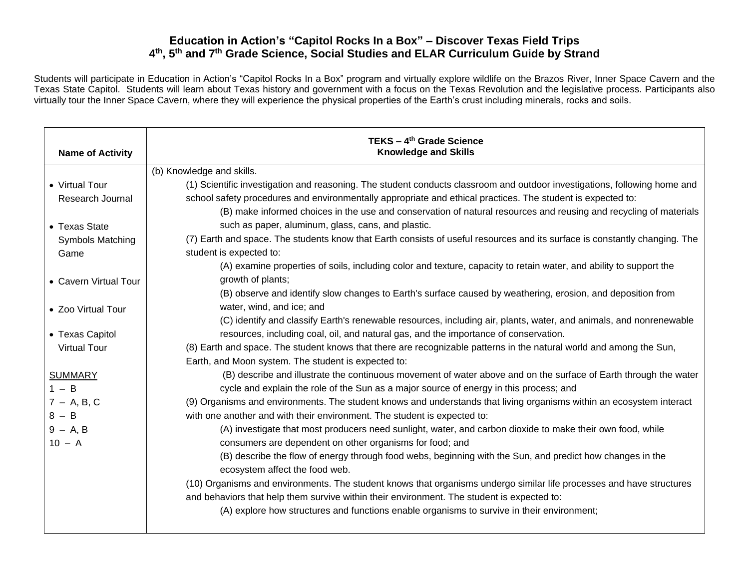Students will participate in Education in Action's "Capitol Rocks In a Box" program and virtually explore wildlife on the Brazos River, Inner Space Cavern and the Texas State Capitol. Students will learn about Texas history and government with a focus on the Texas Revolution and the legislative process. Participants also virtually tour the Inner Space Cavern, where they will experience the physical properties of the Earth's crust including minerals, rocks and soils.

| <b>Name of Activity</b> | TEKS - 4 <sup>th</sup> Grade Science<br><b>Knowledge and Skills</b>                                                                         |
|-------------------------|---------------------------------------------------------------------------------------------------------------------------------------------|
|                         | (b) Knowledge and skills.                                                                                                                   |
| • Virtual Tour          | (1) Scientific investigation and reasoning. The student conducts classroom and outdoor investigations, following home and                   |
| Research Journal        | school safety procedures and environmentally appropriate and ethical practices. The student is expected to:                                 |
|                         | (B) make informed choices in the use and conservation of natural resources and reusing and recycling of materials                           |
| • Texas State           | such as paper, aluminum, glass, cans, and plastic.                                                                                          |
| <b>Symbols Matching</b> | (7) Earth and space. The students know that Earth consists of useful resources and its surface is constantly changing. The                  |
| Game                    | student is expected to:                                                                                                                     |
|                         | (A) examine properties of soils, including color and texture, capacity to retain water, and ability to support the                          |
| • Cavern Virtual Tour   | growth of plants;                                                                                                                           |
|                         | (B) observe and identify slow changes to Earth's surface caused by weathering, erosion, and deposition from                                 |
| • Zoo Virtual Tour      | water, wind, and ice; and                                                                                                                   |
|                         | (C) identify and classify Earth's renewable resources, including air, plants, water, and animals, and nonrenewable                          |
| • Texas Capitol         | resources, including coal, oil, and natural gas, and the importance of conservation.                                                        |
| <b>Virtual Tour</b>     | (8) Earth and space. The student knows that there are recognizable patterns in the natural world and among the Sun,                         |
|                         | Earth, and Moon system. The student is expected to:                                                                                         |
| <b>SUMMARY</b>          | (B) describe and illustrate the continuous movement of water above and on the surface of Earth through the water                            |
| $1 - B$                 | cycle and explain the role of the Sun as a major source of energy in this process; and                                                      |
| $7 - A, B, C$           | (9) Organisms and environments. The student knows and understands that living organisms within an ecosystem interact                        |
| $8 - B$                 | with one another and with their environment. The student is expected to:                                                                    |
| $9 - A, B$              | (A) investigate that most producers need sunlight, water, and carbon dioxide to make their own food, while                                  |
| $10 - A$                | consumers are dependent on other organisms for food; and                                                                                    |
|                         | (B) describe the flow of energy through food webs, beginning with the Sun, and predict how changes in the<br>ecosystem affect the food web. |
|                         | (10) Organisms and environments. The student knows that organisms undergo similar life processes and have structures                        |
|                         | and behaviors that help them survive within their environment. The student is expected to:                                                  |
|                         | (A) explore how structures and functions enable organisms to survive in their environment;                                                  |
|                         |                                                                                                                                             |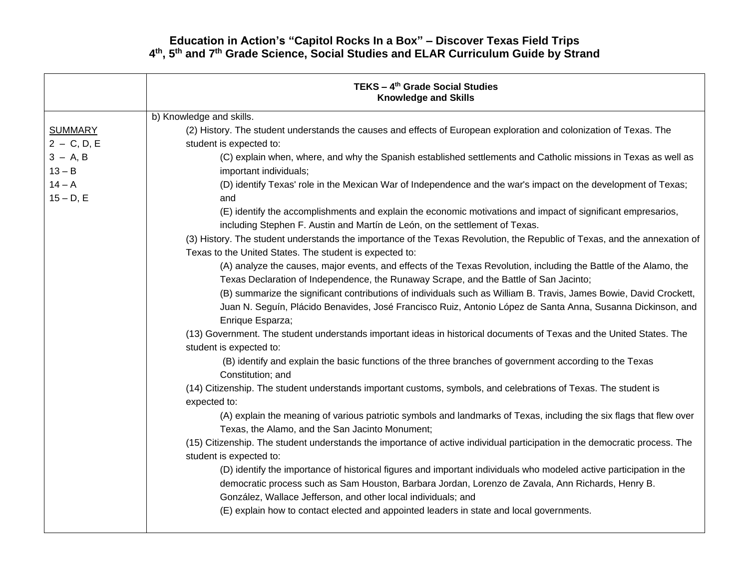|                                 | TEKS - 4 <sup>th</sup> Grade Social Studies<br><b>Knowledge and Skills</b>                                                                                                                                                                                                                |
|---------------------------------|-------------------------------------------------------------------------------------------------------------------------------------------------------------------------------------------------------------------------------------------------------------------------------------------|
|                                 | b) Knowledge and skills.                                                                                                                                                                                                                                                                  |
| <b>SUMMARY</b><br>$2 - C, D, E$ | (2) History. The student understands the causes and effects of European exploration and colonization of Texas. The<br>student is expected to:                                                                                                                                             |
| $3 - A, B$<br>$13 - B$          | (C) explain when, where, and why the Spanish established settlements and Catholic missions in Texas as well as<br>important individuals;                                                                                                                                                  |
| $14 - A$<br>$15 - D, E$         | (D) identify Texas' role in the Mexican War of Independence and the war's impact on the development of Texas;<br>and                                                                                                                                                                      |
|                                 | (E) identify the accomplishments and explain the economic motivations and impact of significant empresarios,                                                                                                                                                                              |
|                                 | including Stephen F. Austin and Martín de León, on the settlement of Texas.                                                                                                                                                                                                               |
|                                 | (3) History. The student understands the importance of the Texas Revolution, the Republic of Texas, and the annexation of<br>Texas to the United States. The student is expected to:                                                                                                      |
|                                 | (A) analyze the causes, major events, and effects of the Texas Revolution, including the Battle of the Alamo, the                                                                                                                                                                         |
|                                 | Texas Declaration of Independence, the Runaway Scrape, and the Battle of San Jacinto;                                                                                                                                                                                                     |
|                                 | (B) summarize the significant contributions of individuals such as William B. Travis, James Bowie, David Crockett,                                                                                                                                                                        |
|                                 | Juan N. Seguín, Plácido Benavides, José Francisco Ruiz, Antonio López de Santa Anna, Susanna Dickinson, and<br>Enrique Esparza;                                                                                                                                                           |
|                                 | (13) Government. The student understands important ideas in historical documents of Texas and the United States. The                                                                                                                                                                      |
|                                 | student is expected to:                                                                                                                                                                                                                                                                   |
|                                 | (B) identify and explain the basic functions of the three branches of government according to the Texas<br>Constitution; and                                                                                                                                                              |
|                                 | (14) Citizenship. The student understands important customs, symbols, and celebrations of Texas. The student is<br>expected to:                                                                                                                                                           |
|                                 | (A) explain the meaning of various patriotic symbols and landmarks of Texas, including the six flags that flew over<br>Texas, the Alamo, and the San Jacinto Monument;                                                                                                                    |
|                                 | (15) Citizenship. The student understands the importance of active individual participation in the democratic process. The<br>student is expected to:                                                                                                                                     |
|                                 | (D) identify the importance of historical figures and important individuals who modeled active participation in the<br>democratic process such as Sam Houston, Barbara Jordan, Lorenzo de Zavala, Ann Richards, Henry B.<br>González, Wallace Jefferson, and other local individuals; and |
|                                 | (E) explain how to contact elected and appointed leaders in state and local governments.                                                                                                                                                                                                  |
|                                 |                                                                                                                                                                                                                                                                                           |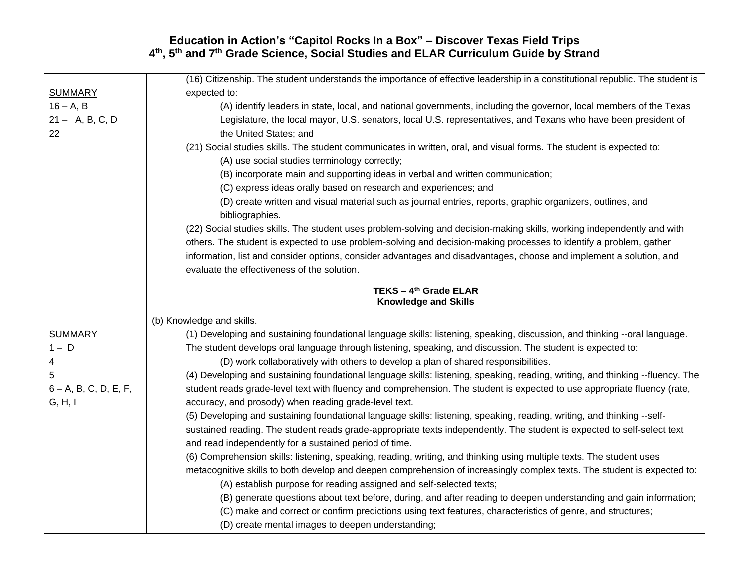|                          | (16) Citizenship. The student understands the importance of effective leadership in a constitutional republic. The student is  |
|--------------------------|--------------------------------------------------------------------------------------------------------------------------------|
| <b>SUMMARY</b>           | expected to:                                                                                                                   |
| $16 - A, B$              | (A) identify leaders in state, local, and national governments, including the governor, local members of the Texas             |
| $21 - A, B, C, D$        | Legislature, the local mayor, U.S. senators, local U.S. representatives, and Texans who have been president of                 |
| 22                       | the United States; and                                                                                                         |
|                          | (21) Social studies skills. The student communicates in written, oral, and visual forms. The student is expected to:           |
|                          | (A) use social studies terminology correctly;                                                                                  |
|                          | (B) incorporate main and supporting ideas in verbal and written communication;                                                 |
|                          | (C) express ideas orally based on research and experiences; and                                                                |
|                          | (D) create written and visual material such as journal entries, reports, graphic organizers, outlines, and                     |
|                          | bibliographies.                                                                                                                |
|                          | (22) Social studies skills. The student uses problem-solving and decision-making skills, working independently and with        |
|                          | others. The student is expected to use problem-solving and decision-making processes to identify a problem, gather             |
|                          | information, list and consider options, consider advantages and disadvantages, choose and implement a solution, and            |
|                          | evaluate the effectiveness of the solution.                                                                                    |
|                          | TEKS - 4 <sup>th</sup> Grade ELAR                                                                                              |
|                          | <b>Knowledge and Skills</b>                                                                                                    |
|                          | (b) Knowledge and skills.                                                                                                      |
| <b>SUMMARY</b>           | (1) Developing and sustaining foundational language skills: listening, speaking, discussion, and thinking --oral language.     |
| $1 - D$                  | The student develops oral language through listening, speaking, and discussion. The student is expected to:                    |
| 4                        | (D) work collaboratively with others to develop a plan of shared responsibilities.                                             |
| 5                        | (4) Developing and sustaining foundational language skills: listening, speaking, reading, writing, and thinking --fluency. The |
| $6 - A$ , B, C, D, E, F, | student reads grade-level text with fluency and comprehension. The student is expected to use appropriate fluency (rate,       |
|                          |                                                                                                                                |
| G, H, I                  | accuracy, and prosody) when reading grade-level text.                                                                          |
|                          | (5) Developing and sustaining foundational language skills: listening, speaking, reading, writing, and thinking --self-        |
|                          | sustained reading. The student reads grade-appropriate texts independently. The student is expected to self-select text        |
|                          | and read independently for a sustained period of time.                                                                         |
|                          | (6) Comprehension skills: listening, speaking, reading, writing, and thinking using multiple texts. The student uses           |
|                          | metacognitive skills to both develop and deepen comprehension of increasingly complex texts. The student is expected to:       |
|                          | (A) establish purpose for reading assigned and self-selected texts;                                                            |
|                          | (B) generate questions about text before, during, and after reading to deepen understanding and gain information;              |
|                          | (C) make and correct or confirm predictions using text features, characteristics of genre, and structures;                     |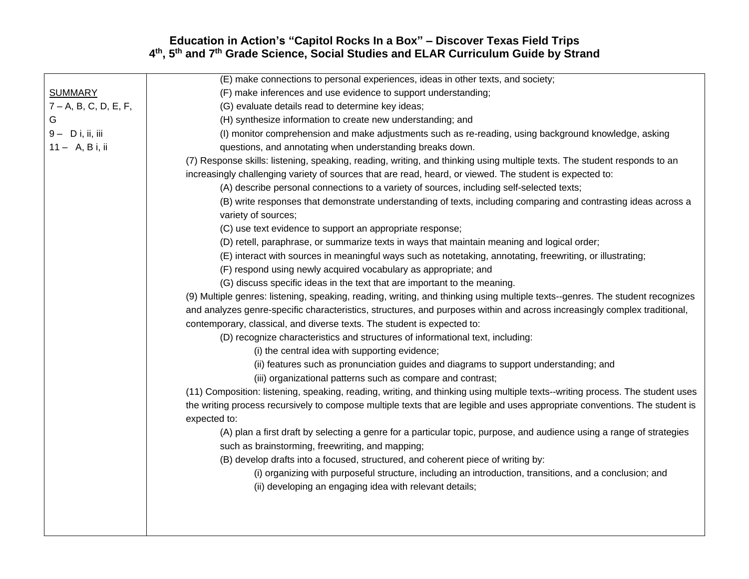|                          | (E) make connections to personal experiences, ideas in other texts, and society;                                              |
|--------------------------|-------------------------------------------------------------------------------------------------------------------------------|
| <b>SUMMARY</b>           | (F) make inferences and use evidence to support understanding;                                                                |
| $7 - A$ , B, C, D, E, F, | (G) evaluate details read to determine key ideas;                                                                             |
| G                        | (H) synthesize information to create new understanding; and                                                                   |
| $9 - D$ i, ii, iii       | (I) monitor comprehension and make adjustments such as re-reading, using background knowledge, asking                         |
| $11 - A, B$ i, ii        | questions, and annotating when understanding breaks down.                                                                     |
|                          | (7) Response skills: listening, speaking, reading, writing, and thinking using multiple texts. The student responds to an     |
|                          | increasingly challenging variety of sources that are read, heard, or viewed. The student is expected to:                      |
|                          | (A) describe personal connections to a variety of sources, including self-selected texts;                                     |
|                          | (B) write responses that demonstrate understanding of texts, including comparing and contrasting ideas across a               |
|                          | variety of sources;                                                                                                           |
|                          | (C) use text evidence to support an appropriate response;                                                                     |
|                          | (D) retell, paraphrase, or summarize texts in ways that maintain meaning and logical order;                                   |
|                          | (E) interact with sources in meaningful ways such as notetaking, annotating, freewriting, or illustrating;                    |
|                          | (F) respond using newly acquired vocabulary as appropriate; and                                                               |
|                          | (G) discuss specific ideas in the text that are important to the meaning.                                                     |
|                          | (9) Multiple genres: listening, speaking, reading, writing, and thinking using multiple texts--genres. The student recognizes |
|                          | and analyzes genre-specific characteristics, structures, and purposes within and across increasingly complex traditional,     |
|                          | contemporary, classical, and diverse texts. The student is expected to:                                                       |
|                          | (D) recognize characteristics and structures of informational text, including:                                                |
|                          | (i) the central idea with supporting evidence;                                                                                |
|                          | (ii) features such as pronunciation guides and diagrams to support understanding; and                                         |
|                          | (iii) organizational patterns such as compare and contrast;                                                                   |
|                          | (11) Composition: listening, speaking, reading, writing, and thinking using multiple texts--writing process. The student uses |
|                          | the writing process recursively to compose multiple texts that are legible and uses appropriate conventions. The student is   |
|                          | expected to:                                                                                                                  |
|                          | (A) plan a first draft by selecting a genre for a particular topic, purpose, and audience using a range of strategies         |
|                          | such as brainstorming, freewriting, and mapping;                                                                              |
|                          | (B) develop drafts into a focused, structured, and coherent piece of writing by:                                              |
|                          | (i) organizing with purposeful structure, including an introduction, transitions, and a conclusion; and                       |
|                          | (ii) developing an engaging idea with relevant details;                                                                       |
|                          |                                                                                                                               |
|                          |                                                                                                                               |
|                          |                                                                                                                               |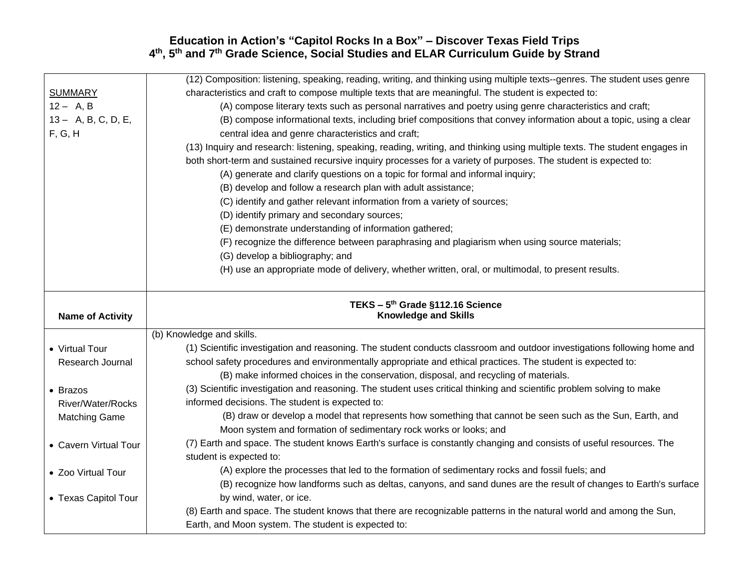|                         | (12) Composition: listening, speaking, reading, writing, and thinking using multiple texts--genres. The student uses genre  |
|-------------------------|-----------------------------------------------------------------------------------------------------------------------------|
| <b>SUMMARY</b>          | characteristics and craft to compose multiple texts that are meaningful. The student is expected to:                        |
| $12 - A, B$             | (A) compose literary texts such as personal narratives and poetry using genre characteristics and craft;                    |
| 13 - A, B, C, D, E,     | (B) compose informational texts, including brief compositions that convey information about a topic, using a clear          |
| F, G, H                 | central idea and genre characteristics and craft;                                                                           |
|                         | (13) Inquiry and research: listening, speaking, reading, writing, and thinking using multiple texts. The student engages in |
|                         | both short-term and sustained recursive inquiry processes for a variety of purposes. The student is expected to:            |
|                         | (A) generate and clarify questions on a topic for formal and informal inquiry;                                              |
|                         | (B) develop and follow a research plan with adult assistance;                                                               |
|                         | (C) identify and gather relevant information from a variety of sources;                                                     |
|                         | (D) identify primary and secondary sources;                                                                                 |
|                         | (E) demonstrate understanding of information gathered;                                                                      |
|                         | (F) recognize the difference between paraphrasing and plagiarism when using source materials;                               |
|                         | (G) develop a bibliography; and                                                                                             |
|                         | (H) use an appropriate mode of delivery, whether written, oral, or multimodal, to present results.                          |
|                         |                                                                                                                             |
|                         |                                                                                                                             |
|                         |                                                                                                                             |
| <b>Name of Activity</b> | TEKS - 5th Grade §112.16 Science<br><b>Knowledge and Skills</b>                                                             |
|                         | (b) Knowledge and skills.                                                                                                   |
| • Virtual Tour          | (1) Scientific investigation and reasoning. The student conducts classroom and outdoor investigations following home and    |
| Research Journal        | school safety procedures and environmentally appropriate and ethical practices. The student is expected to:                 |
|                         | (B) make informed choices in the conservation, disposal, and recycling of materials.                                        |
| • Brazos                | (3) Scientific investigation and reasoning. The student uses critical thinking and scientific problem solving to make       |
| River/Water/Rocks       | informed decisions. The student is expected to:                                                                             |
| <b>Matching Game</b>    | (B) draw or develop a model that represents how something that cannot be seen such as the Sun, Earth, and                   |
|                         | Moon system and formation of sedimentary rock works or looks; and                                                           |
| • Cavern Virtual Tour   | (7) Earth and space. The student knows Earth's surface is constantly changing and consists of useful resources. The         |
|                         | student is expected to:                                                                                                     |
| • Zoo Virtual Tour      | (A) explore the processes that led to the formation of sedimentary rocks and fossil fuels; and                              |
|                         | (B) recognize how landforms such as deltas, canyons, and sand dunes are the result of changes to Earth's surface            |
| • Texas Capitol Tour    | by wind, water, or ice.                                                                                                     |
|                         | (8) Earth and space. The student knows that there are recognizable patterns in the natural world and among the Sun,         |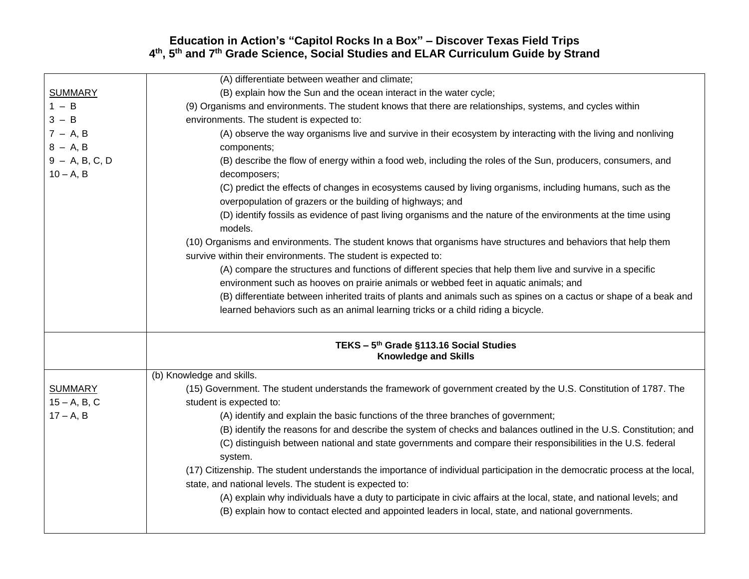|                  | (A) differentiate between weather and climate;                                                                               |
|------------------|------------------------------------------------------------------------------------------------------------------------------|
| <b>SUMMARY</b>   | (B) explain how the Sun and the ocean interact in the water cycle;                                                           |
| $1 - B$          | (9) Organisms and environments. The student knows that there are relationships, systems, and cycles within                   |
| $3 - B$          | environments. The student is expected to:                                                                                    |
| $7 - A, B$       | (A) observe the way organisms live and survive in their ecosystem by interacting with the living and nonliving               |
| $8 - A, B$       | components;                                                                                                                  |
| $9 - A, B, C, D$ | (B) describe the flow of energy within a food web, including the roles of the Sun, producers, consumers, and                 |
| $10 - A, B$      | decomposers;                                                                                                                 |
|                  | (C) predict the effects of changes in ecosystems caused by living organisms, including humans, such as the                   |
|                  | overpopulation of grazers or the building of highways; and                                                                   |
|                  | (D) identify fossils as evidence of past living organisms and the nature of the environments at the time using               |
|                  | models.                                                                                                                      |
|                  | (10) Organisms and environments. The student knows that organisms have structures and behaviors that help them               |
|                  | survive within their environments. The student is expected to:                                                               |
|                  | (A) compare the structures and functions of different species that help them live and survive in a specific                  |
|                  | environment such as hooves on prairie animals or webbed feet in aquatic animals; and                                         |
|                  | (B) differentiate between inherited traits of plants and animals such as spines on a cactus or shape of a beak and           |
|                  | learned behaviors such as an animal learning tricks or a child riding a bicycle.                                             |
|                  | TEKS - 5 <sup>th</sup> Grade §113.16 Social Studies                                                                          |
|                  | <b>Knowledge and Skills</b>                                                                                                  |
|                  | (b) Knowledge and skills.                                                                                                    |
| <b>SUMMARY</b>   | (15) Government. The student understands the framework of government created by the U.S. Constitution of 1787. The           |
| $15 - A, B, C$   | student is expected to:                                                                                                      |
| $17 - A, B$      | (A) identify and explain the basic functions of the three branches of government;                                            |
|                  | (B) identify the reasons for and describe the system of checks and balances outlined in the U.S. Constitution; and           |
|                  | (C) distinguish between national and state governments and compare their responsibilities in the U.S. federal                |
|                  | system.                                                                                                                      |
|                  | (17) Citizenship. The student understands the importance of individual participation in the democratic process at the local, |
|                  | state, and national levels. The student is expected to:                                                                      |
|                  | (A) explain why individuals have a duty to participate in civic affairs at the local, state, and national levels; and        |
|                  | (B) explain how to contact elected and appointed leaders in local, state, and national governments.                          |
|                  |                                                                                                                              |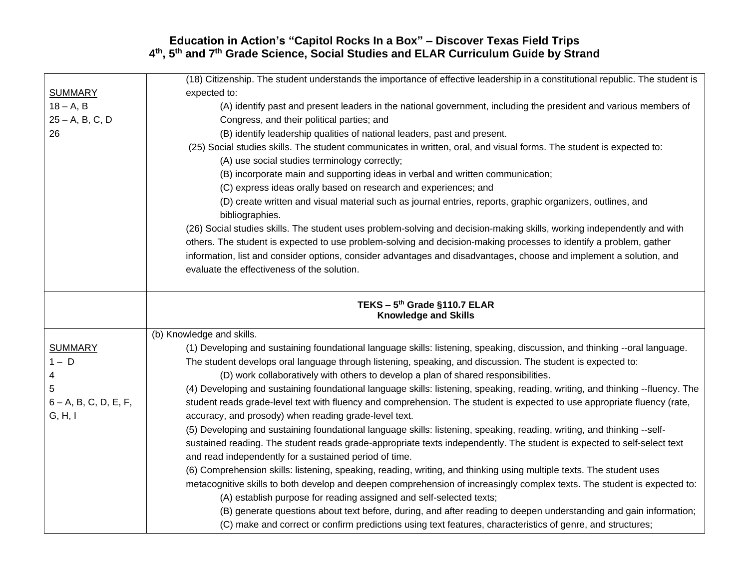|                          | (18) Citizenship. The student understands the importance of effective leadership in a constitutional republic. The student is  |
|--------------------------|--------------------------------------------------------------------------------------------------------------------------------|
| <b>SUMMARY</b>           | expected to:                                                                                                                   |
| $18 - A, B$              | (A) identify past and present leaders in the national government, including the president and various members of               |
| $25 - A, B, C, D$        | Congress, and their political parties; and                                                                                     |
| 26                       | (B) identify leadership qualities of national leaders, past and present.                                                       |
|                          | (25) Social studies skills. The student communicates in written, oral, and visual forms. The student is expected to:           |
|                          | (A) use social studies terminology correctly;                                                                                  |
|                          | (B) incorporate main and supporting ideas in verbal and written communication;                                                 |
|                          | (C) express ideas orally based on research and experiences; and                                                                |
|                          | (D) create written and visual material such as journal entries, reports, graphic organizers, outlines, and                     |
|                          | bibliographies.                                                                                                                |
|                          | (26) Social studies skills. The student uses problem-solving and decision-making skills, working independently and with        |
|                          | others. The student is expected to use problem-solving and decision-making processes to identify a problem, gather             |
|                          | information, list and consider options, consider advantages and disadvantages, choose and implement a solution, and            |
|                          | evaluate the effectiveness of the solution.                                                                                    |
|                          |                                                                                                                                |
|                          |                                                                                                                                |
|                          | TEKS - 5th Grade §110.7 ELAR<br><b>Knowledge and Skills</b>                                                                    |
|                          |                                                                                                                                |
|                          | (b) Knowledge and skills.                                                                                                      |
| <b>SUMMARY</b>           | (1) Developing and sustaining foundational language skills: listening, speaking, discussion, and thinking --oral language.     |
| $1 - D$                  | The student develops oral language through listening, speaking, and discussion. The student is expected to:                    |
| 4                        | (D) work collaboratively with others to develop a plan of shared responsibilities.                                             |
| 5                        | (4) Developing and sustaining foundational language skills: listening, speaking, reading, writing, and thinking --fluency. The |
| $6 - A$ , B, C, D, E, F, | student reads grade-level text with fluency and comprehension. The student is expected to use appropriate fluency (rate,       |
| G, H, I                  |                                                                                                                                |
|                          | accuracy, and prosody) when reading grade-level text.                                                                          |
|                          | (5) Developing and sustaining foundational language skills: listening, speaking, reading, writing, and thinking --self-        |
|                          | sustained reading. The student reads grade-appropriate texts independently. The student is expected to self-select text        |
|                          | and read independently for a sustained period of time.                                                                         |
|                          | (6) Comprehension skills: listening, speaking, reading, writing, and thinking using multiple texts. The student uses           |
|                          | metacognitive skills to both develop and deepen comprehension of increasingly complex texts. The student is expected to:       |
|                          | (A) establish purpose for reading assigned and self-selected texts;                                                            |
|                          | (B) generate questions about text before, during, and after reading to deepen understanding and gain information;              |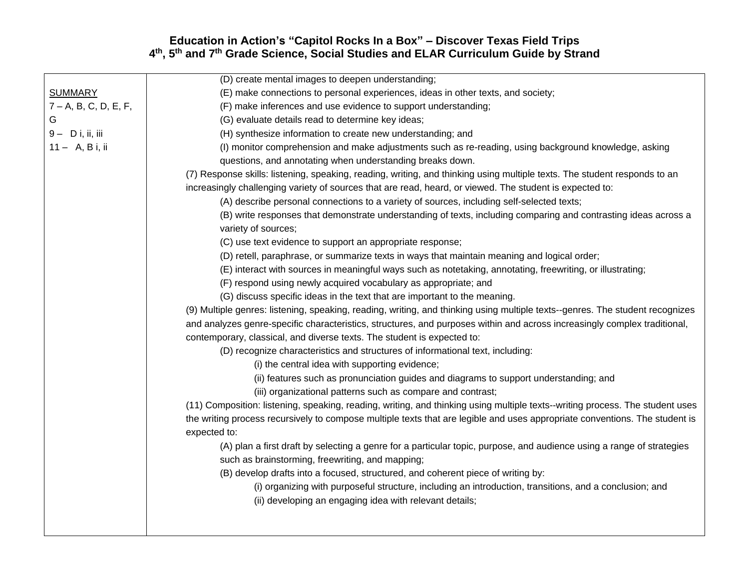|                          | (D) create mental images to deepen understanding;                                                                                           |
|--------------------------|---------------------------------------------------------------------------------------------------------------------------------------------|
| <b>SUMMARY</b>           | (E) make connections to personal experiences, ideas in other texts, and society;                                                            |
| $7 - A$ , B, C, D, E, F, | (F) make inferences and use evidence to support understanding;                                                                              |
| G                        | (G) evaluate details read to determine key ideas;                                                                                           |
| $9 - D$ i, ii, iii       | (H) synthesize information to create new understanding; and                                                                                 |
| $11 - A, B$ i, ii        | (I) monitor comprehension and make adjustments such as re-reading, using background knowledge, asking                                       |
|                          | questions, and annotating when understanding breaks down.                                                                                   |
|                          | (7) Response skills: listening, speaking, reading, writing, and thinking using multiple texts. The student responds to an                   |
|                          | increasingly challenging variety of sources that are read, heard, or viewed. The student is expected to:                                    |
|                          | (A) describe personal connections to a variety of sources, including self-selected texts;                                                   |
|                          | (B) write responses that demonstrate understanding of texts, including comparing and contrasting ideas across a<br>variety of sources;      |
|                          | (C) use text evidence to support an appropriate response;                                                                                   |
|                          | (D) retell, paraphrase, or summarize texts in ways that maintain meaning and logical order;                                                 |
|                          | (E) interact with sources in meaningful ways such as notetaking, annotating, freewriting, or illustrating;                                  |
|                          | (F) respond using newly acquired vocabulary as appropriate; and                                                                             |
|                          | (G) discuss specific ideas in the text that are important to the meaning.                                                                   |
|                          | (9) Multiple genres: listening, speaking, reading, writing, and thinking using multiple texts--genres. The student recognizes               |
|                          | and analyzes genre-specific characteristics, structures, and purposes within and across increasingly complex traditional,                   |
|                          | contemporary, classical, and diverse texts. The student is expected to:                                                                     |
|                          | (D) recognize characteristics and structures of informational text, including:                                                              |
|                          | (i) the central idea with supporting evidence;                                                                                              |
|                          | (ii) features such as pronunciation guides and diagrams to support understanding; and                                                       |
|                          | (iii) organizational patterns such as compare and contrast;                                                                                 |
|                          | (11) Composition: listening, speaking, reading, writing, and thinking using multiple texts--writing process. The student uses               |
|                          | the writing process recursively to compose multiple texts that are legible and uses appropriate conventions. The student is<br>expected to: |
|                          | (A) plan a first draft by selecting a genre for a particular topic, purpose, and audience using a range of strategies                       |
|                          | such as brainstorming, freewriting, and mapping;                                                                                            |
|                          | (B) develop drafts into a focused, structured, and coherent piece of writing by:                                                            |
|                          | (i) organizing with purposeful structure, including an introduction, transitions, and a conclusion; and                                     |
|                          | (ii) developing an engaging idea with relevant details;                                                                                     |
|                          |                                                                                                                                             |
|                          |                                                                                                                                             |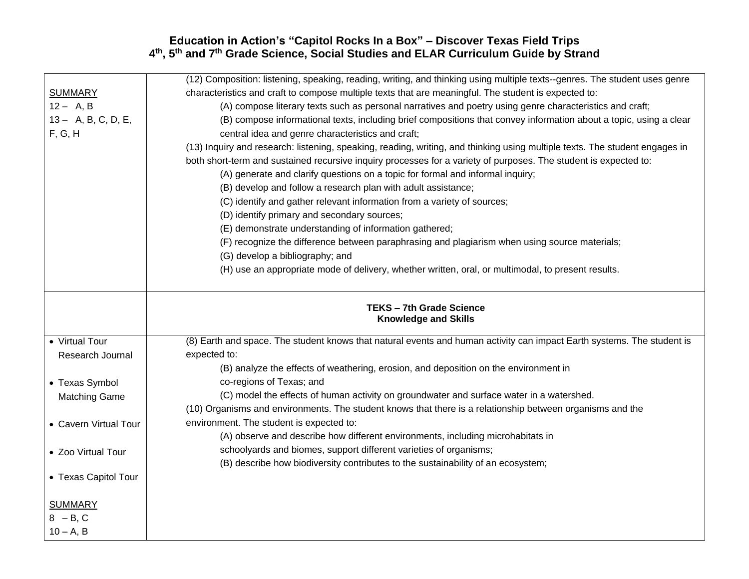|                       | (12) Composition: listening, speaking, reading, writing, and thinking using multiple texts--genres. The student uses genre  |
|-----------------------|-----------------------------------------------------------------------------------------------------------------------------|
| <b>SUMMARY</b>        | characteristics and craft to compose multiple texts that are meaningful. The student is expected to:                        |
| $12 - A, B$           | (A) compose literary texts such as personal narratives and poetry using genre characteristics and craft;                    |
| 13 - A, B, C, D, E,   | (B) compose informational texts, including brief compositions that convey information about a topic, using a clear          |
| F, G, H               | central idea and genre characteristics and craft;                                                                           |
|                       | (13) Inquiry and research: listening, speaking, reading, writing, and thinking using multiple texts. The student engages in |
|                       | both short-term and sustained recursive inquiry processes for a variety of purposes. The student is expected to:            |
|                       | (A) generate and clarify questions on a topic for formal and informal inquiry;                                              |
|                       | (B) develop and follow a research plan with adult assistance;                                                               |
|                       | (C) identify and gather relevant information from a variety of sources;                                                     |
|                       | (D) identify primary and secondary sources;                                                                                 |
|                       | (E) demonstrate understanding of information gathered;                                                                      |
|                       | (F) recognize the difference between paraphrasing and plagiarism when using source materials;                               |
|                       | (G) develop a bibliography; and                                                                                             |
|                       | (H) use an appropriate mode of delivery, whether written, oral, or multimodal, to present results.                          |
|                       |                                                                                                                             |
|                       |                                                                                                                             |
|                       | <b>TEKS-7th Grade Science</b>                                                                                               |
|                       | <b>Knowledge and Skills</b>                                                                                                 |
| • Virtual Tour        | (8) Earth and space. The student knows that natural events and human activity can impact Earth systems. The student is      |
| Research Journal      | expected to:                                                                                                                |
|                       | (B) analyze the effects of weathering, erosion, and deposition on the environment in                                        |
| • Texas Symbol        | co-regions of Texas; and                                                                                                    |
| <b>Matching Game</b>  | (C) model the effects of human activity on groundwater and surface water in a watershed.                                    |
|                       | (10) Organisms and environments. The student knows that there is a relationship between organisms and the                   |
| • Cavern Virtual Tour | environment. The student is expected to:                                                                                    |
|                       | (A) observe and describe how different environments, including microhabitats in                                             |
| • Zoo Virtual Tour    | schoolyards and biomes, support different varieties of organisms;                                                           |
|                       | (B) describe how biodiversity contributes to the sustainability of an ecosystem;                                            |
| • Texas Capitol Tour  |                                                                                                                             |
|                       |                                                                                                                             |
| <b>SUMMARY</b>        |                                                                                                                             |
|                       |                                                                                                                             |
| $8 - B, C$            |                                                                                                                             |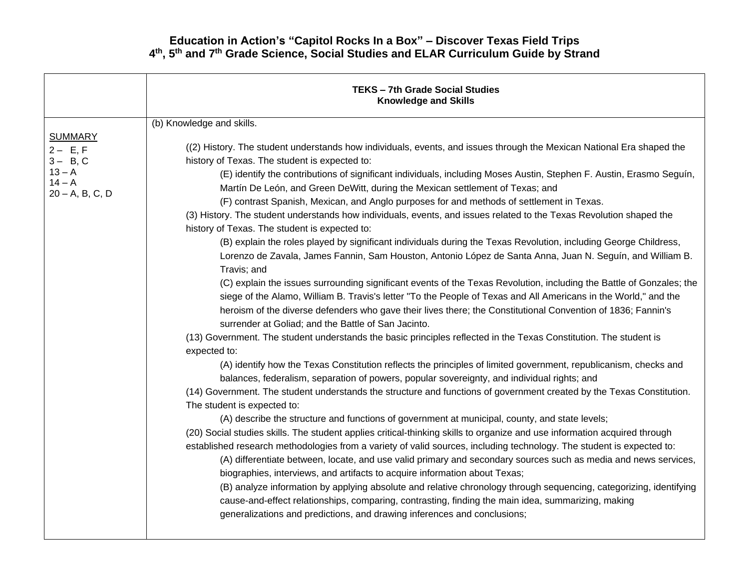|                                                                                          | <b>TEKS - 7th Grade Social Studies</b><br><b>Knowledge and Skills</b>                                                                                                                                                                                                                                                                                                                                                                                                                                                                                                                                                                                                                                                                                                                                                                                                                                                                                                                                                                                                                                                                                                                                                                                                                                                                                                                                                                                                                                                                                                                                                                                                                                                                                                                                                                                                                                                                                                                                                                                                                                                                                                                                                                                                                                                                                                                                                                                                                                                 |
|------------------------------------------------------------------------------------------|-----------------------------------------------------------------------------------------------------------------------------------------------------------------------------------------------------------------------------------------------------------------------------------------------------------------------------------------------------------------------------------------------------------------------------------------------------------------------------------------------------------------------------------------------------------------------------------------------------------------------------------------------------------------------------------------------------------------------------------------------------------------------------------------------------------------------------------------------------------------------------------------------------------------------------------------------------------------------------------------------------------------------------------------------------------------------------------------------------------------------------------------------------------------------------------------------------------------------------------------------------------------------------------------------------------------------------------------------------------------------------------------------------------------------------------------------------------------------------------------------------------------------------------------------------------------------------------------------------------------------------------------------------------------------------------------------------------------------------------------------------------------------------------------------------------------------------------------------------------------------------------------------------------------------------------------------------------------------------------------------------------------------------------------------------------------------------------------------------------------------------------------------------------------------------------------------------------------------------------------------------------------------------------------------------------------------------------------------------------------------------------------------------------------------------------------------------------------------------------------------------------------------|
|                                                                                          | (b) Knowledge and skills.                                                                                                                                                                                                                                                                                                                                                                                                                                                                                                                                                                                                                                                                                                                                                                                                                                                                                                                                                                                                                                                                                                                                                                                                                                                                                                                                                                                                                                                                                                                                                                                                                                                                                                                                                                                                                                                                                                                                                                                                                                                                                                                                                                                                                                                                                                                                                                                                                                                                                             |
| <b>SUMMARY</b><br>$2 - E, F$<br>$3 - B, C$<br>$13 - A$<br>$14 - A$<br>$20 - A$ , B, C, D | ((2) History. The student understands how individuals, events, and issues through the Mexican National Era shaped the<br>history of Texas. The student is expected to:<br>(E) identify the contributions of significant individuals, including Moses Austin, Stephen F. Austin, Erasmo Seguín,<br>Martín De León, and Green DeWitt, during the Mexican settlement of Texas; and<br>(F) contrast Spanish, Mexican, and Anglo purposes for and methods of settlement in Texas.<br>(3) History. The student understands how individuals, events, and issues related to the Texas Revolution shaped the<br>history of Texas. The student is expected to:<br>(B) explain the roles played by significant individuals during the Texas Revolution, including George Childress,<br>Lorenzo de Zavala, James Fannin, Sam Houston, Antonio López de Santa Anna, Juan N. Seguín, and William B.<br>Travis; and<br>(C) explain the issues surrounding significant events of the Texas Revolution, including the Battle of Gonzales; the<br>siege of the Alamo, William B. Travis's letter "To the People of Texas and All Americans in the World," and the<br>heroism of the diverse defenders who gave their lives there; the Constitutional Convention of 1836; Fannin's<br>surrender at Goliad; and the Battle of San Jacinto.<br>(13) Government. The student understands the basic principles reflected in the Texas Constitution. The student is<br>expected to:<br>(A) identify how the Texas Constitution reflects the principles of limited government, republicanism, checks and<br>balances, federalism, separation of powers, popular sovereignty, and individual rights; and<br>(14) Government. The student understands the structure and functions of government created by the Texas Constitution.<br>The student is expected to:<br>(A) describe the structure and functions of government at municipal, county, and state levels;<br>(20) Social studies skills. The student applies critical-thinking skills to organize and use information acquired through<br>established research methodologies from a variety of valid sources, including technology. The student is expected to:<br>(A) differentiate between, locate, and use valid primary and secondary sources such as media and news services,<br>biographies, interviews, and artifacts to acquire information about Texas;<br>(B) analyze information by applying absolute and relative chronology through sequencing, categorizing, identifying |
|                                                                                          | cause-and-effect relationships, comparing, contrasting, finding the main idea, summarizing, making<br>generalizations and predictions, and drawing inferences and conclusions;                                                                                                                                                                                                                                                                                                                                                                                                                                                                                                                                                                                                                                                                                                                                                                                                                                                                                                                                                                                                                                                                                                                                                                                                                                                                                                                                                                                                                                                                                                                                                                                                                                                                                                                                                                                                                                                                                                                                                                                                                                                                                                                                                                                                                                                                                                                                        |